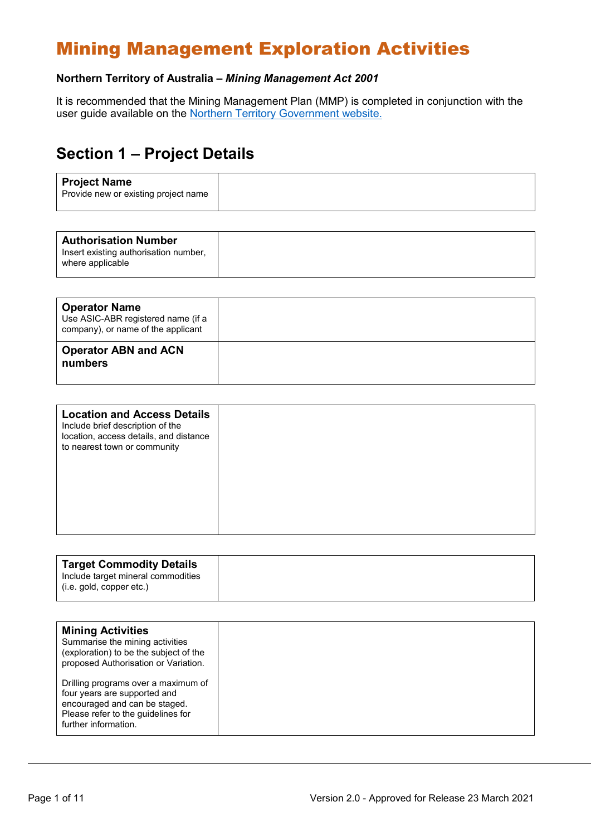# Mining Management Exploration Activities

#### **Northern Territory of Australia –** *Mining Management Act 2001*

It is recommended that the Mining Management Plan (MMP) is completed in conjunction with the user guide available on the [Northern Territory Government website.](https://nt.gov.au/industry/mining-and-petroleum/mining-activities/develop-a-mining-management-plan)

### **Section 1 – Project Details**

|--|--|--|

| <b>Operator Name</b><br>Use ASIC-ABR registered name (if a<br>company), or name of the applicant |  |
|--------------------------------------------------------------------------------------------------|--|
| <b>Operator ABN and ACN</b><br>numbers                                                           |  |

| <b>Location and Access Details</b><br>Include brief description of the<br>location, access details, and distance<br>to nearest town or community |  |
|--------------------------------------------------------------------------------------------------------------------------------------------------|--|
|                                                                                                                                                  |  |

| <b>Target Commodity Details</b><br>Include target mineral commodities |
|-----------------------------------------------------------------------|
| (i.e. gold, copper etc.)                                              |
|                                                                       |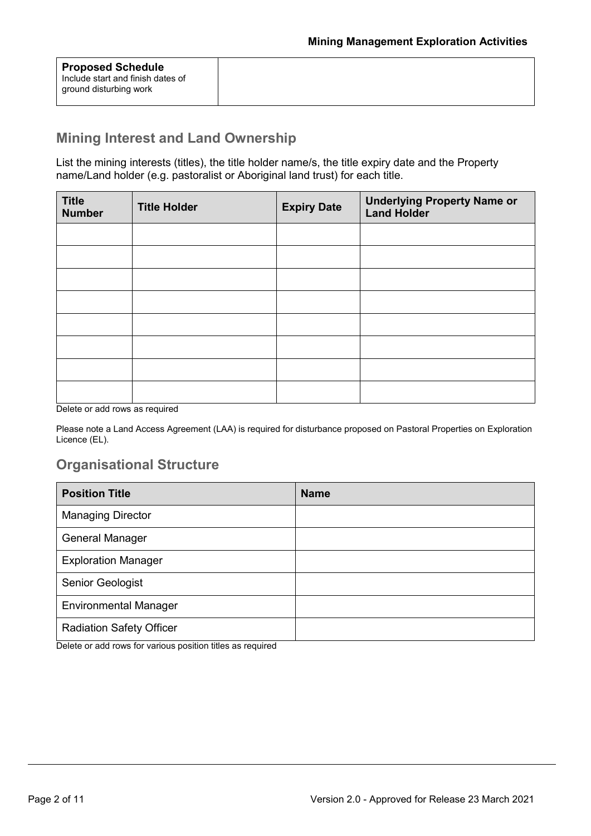| <b>Proposed Schedule</b>          |
|-----------------------------------|
| Include start and finish dates of |
| ground disturbing work            |
|                                   |

#### **Mining Interest and Land Ownership**

List the mining interests (titles), the title holder name/s, the title expiry date and the Property name/Land holder (e.g. pastoralist or Aboriginal land trust) for each title.

| <b>Title</b><br><b>Number</b> | <b>Title Holder</b> | <b>Expiry Date</b> | <b>Underlying Property Name or</b><br><b>Land Holder</b> |
|-------------------------------|---------------------|--------------------|----------------------------------------------------------|
|                               |                     |                    |                                                          |
|                               |                     |                    |                                                          |
|                               |                     |                    |                                                          |
|                               |                     |                    |                                                          |
|                               |                     |                    |                                                          |
|                               |                     |                    |                                                          |
|                               |                     |                    |                                                          |
|                               |                     |                    |                                                          |

Delete or add rows as required

Please note a Land Access Agreement (LAA) is required for disturbance proposed on Pastoral Properties on Exploration Licence (EL).

#### **Organisational Structure**

| <b>Position Title</b>           | <b>Name</b> |
|---------------------------------|-------------|
| <b>Managing Director</b>        |             |
| General Manager                 |             |
| <b>Exploration Manager</b>      |             |
| Senior Geologist                |             |
| <b>Environmental Manager</b>    |             |
| <b>Radiation Safety Officer</b> |             |

Delete or add rows for various position titles as required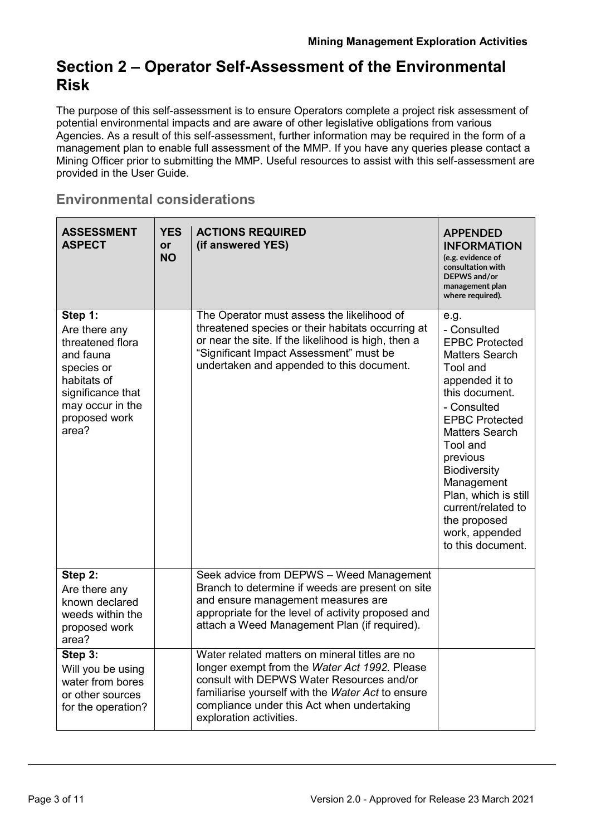### **Section 2 – Operator Self-Assessment of the Environmental Risk**

The purpose of this self-assessment is to ensure Operators complete a project risk assessment of potential environmental impacts and are aware of other legislative obligations from various Agencies. As a result of this self-assessment, further information may be required in the form of a management plan to enable full assessment of the MMP. If you have any queries please contact a Mining Officer prior to submitting the MMP. Useful resources to assist with this self-assessment are provided in the User Guide.

#### **Environmental considerations**

| <b>ASSESSMENT</b><br><b>ASPECT</b>                                                                                                                        | <b>YES</b><br><b>or</b><br><b>NO</b> | <b>ACTIONS REQUIRED</b><br>(if answered YES)                                                                                                                                                                                                                               | <b>APPENDED</b><br><b>INFORMATION</b><br>(e.g. evidence of<br>consultation with<br>DEPWS and/or<br>management plan<br>where required).                                                                                                                                                                                                                   |
|-----------------------------------------------------------------------------------------------------------------------------------------------------------|--------------------------------------|----------------------------------------------------------------------------------------------------------------------------------------------------------------------------------------------------------------------------------------------------------------------------|----------------------------------------------------------------------------------------------------------------------------------------------------------------------------------------------------------------------------------------------------------------------------------------------------------------------------------------------------------|
| Step 1:<br>Are there any<br>threatened flora<br>and fauna<br>species or<br>habitats of<br>significance that<br>may occur in the<br>proposed work<br>area? |                                      | The Operator must assess the likelihood of<br>threatened species or their habitats occurring at<br>or near the site. If the likelihood is high, then a<br>"Significant Impact Assessment" must be<br>undertaken and appended to this document.                             | e.g.<br>- Consulted<br><b>EPBC Protected</b><br><b>Matters Search</b><br>Tool and<br>appended it to<br>this document.<br>- Consulted<br><b>EPBC Protected</b><br><b>Matters Search</b><br>Tool and<br>previous<br><b>Biodiversity</b><br>Management<br>Plan, which is still<br>current/related to<br>the proposed<br>work, appended<br>to this document. |
| Step 2:<br>Are there any<br>known declared<br>weeds within the<br>proposed work<br>area?                                                                  |                                      | Seek advice from DEPWS - Weed Management<br>Branch to determine if weeds are present on site<br>and ensure management measures are<br>appropriate for the level of activity proposed and<br>attach a Weed Management Plan (if required).                                   |                                                                                                                                                                                                                                                                                                                                                          |
| Step 3:<br>Will you be using<br>water from bores<br>or other sources<br>for the operation?                                                                |                                      | Water related matters on mineral titles are no<br>longer exempt from the Water Act 1992. Please<br>consult with DEPWS Water Resources and/or<br>familiarise yourself with the Water Act to ensure<br>compliance under this Act when undertaking<br>exploration activities. |                                                                                                                                                                                                                                                                                                                                                          |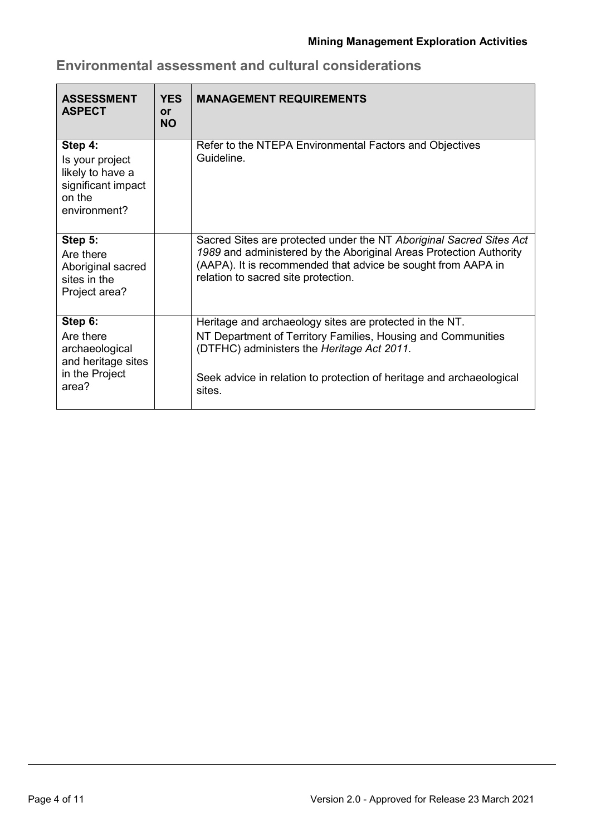| <b>ASSESSMENT</b><br><b>ASPECT</b>                                                             | <b>YES</b><br><b>or</b><br><b>NO</b> | <b>MANAGEMENT REQUIREMENTS</b>                                                                                                                                                                                                                          |
|------------------------------------------------------------------------------------------------|--------------------------------------|---------------------------------------------------------------------------------------------------------------------------------------------------------------------------------------------------------------------------------------------------------|
| Step 4:<br>Is your project<br>likely to have a<br>significant impact<br>on the<br>environment? |                                      | Refer to the NTEPA Environmental Factors and Objectives<br>Guideline.                                                                                                                                                                                   |
| Step 5:<br>Are there<br>Aboriginal sacred<br>sites in the<br>Project area?                     |                                      | Sacred Sites are protected under the NT Aboriginal Sacred Sites Act<br>1989 and administered by the Aboriginal Areas Protection Authority<br>(AAPA). It is recommended that advice be sought from AAPA in<br>relation to sacred site protection.        |
| Step 6:<br>Are there<br>archaeological<br>and heritage sites<br>in the Project<br>area?        |                                      | Heritage and archaeology sites are protected in the NT.<br>NT Department of Territory Families, Housing and Communities<br>(DTFHC) administers the Heritage Act 2011.<br>Seek advice in relation to protection of heritage and archaeological<br>sites. |

### **Environmental assessment and cultural considerations**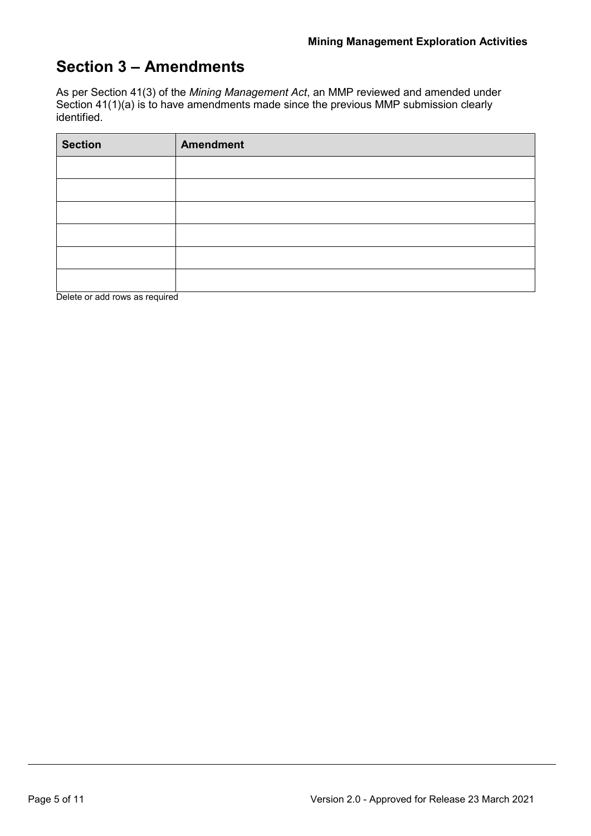### **Section 3 – Amendments**

As per Section 41(3) of the *Mining Management Act*, an MMP reviewed and amended under Section 41(1)(a) is to have amendments made since the previous MMP submission clearly identified.

| <b>Section</b> | <b>Amendment</b> |
|----------------|------------------|
|                |                  |
|                |                  |
|                |                  |
|                |                  |
|                |                  |
|                |                  |

Delete or add rows as required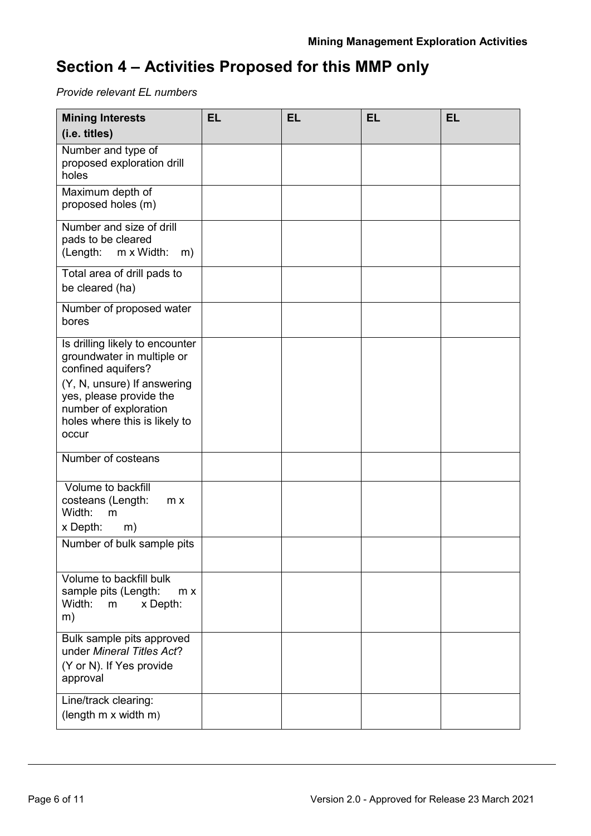## **Section 4 – Activities Proposed for this MMP only**

*Provide relevant EL numbers*

| <b>Mining Interests</b><br>(i.e. titles)                                                                                                                                                                         | <b>EL</b> | <b>EL</b> | <b>EL</b> | <b>EL</b> |
|------------------------------------------------------------------------------------------------------------------------------------------------------------------------------------------------------------------|-----------|-----------|-----------|-----------|
| Number and type of<br>proposed exploration drill<br>holes                                                                                                                                                        |           |           |           |           |
| Maximum depth of<br>proposed holes (m)                                                                                                                                                                           |           |           |           |           |
| Number and size of drill<br>pads to be cleared<br>(Length:<br>m x Width:<br>m)                                                                                                                                   |           |           |           |           |
| Total area of drill pads to<br>be cleared (ha)                                                                                                                                                                   |           |           |           |           |
| Number of proposed water<br>bores                                                                                                                                                                                |           |           |           |           |
| Is drilling likely to encounter<br>groundwater in multiple or<br>confined aquifers?<br>(Y, N, unsure) If answering<br>yes, please provide the<br>number of exploration<br>holes where this is likely to<br>occur |           |           |           |           |
| Number of costeans                                                                                                                                                                                               |           |           |           |           |
| Volume to backfill<br>costeans (Length:<br>m x<br>Width:<br>m<br>x Depth:<br>m)<br>Number of bulk sample pits                                                                                                    |           |           |           |           |
| Volume to backfill bulk                                                                                                                                                                                          |           |           |           |           |
| sample pits (Length:<br>m x<br>Width:<br>x Depth:<br>m<br>m)                                                                                                                                                     |           |           |           |           |
| Bulk sample pits approved<br>under Mineral Titles Act?<br>(Y or N). If Yes provide<br>approval                                                                                                                   |           |           |           |           |
| Line/track clearing:<br>(length m x width m)                                                                                                                                                                     |           |           |           |           |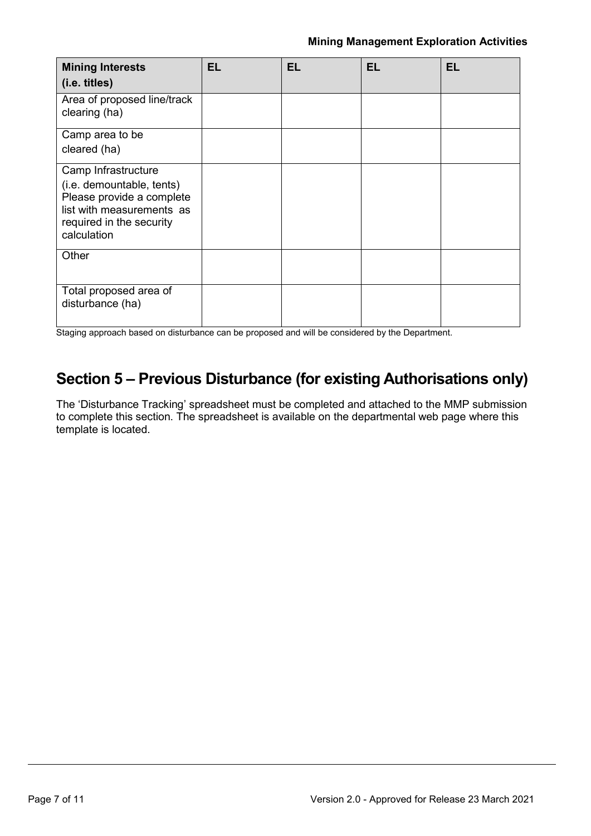| <b>Mining Interests</b>                                                                                                                               | EL | <b>EL</b> | <b>EL</b> | <b>EL</b> |
|-------------------------------------------------------------------------------------------------------------------------------------------------------|----|-----------|-----------|-----------|
| (i.e. titles)                                                                                                                                         |    |           |           |           |
| Area of proposed line/track<br>clearing (ha)                                                                                                          |    |           |           |           |
| Camp area to be                                                                                                                                       |    |           |           |           |
| cleared (ha)                                                                                                                                          |    |           |           |           |
| Camp Infrastructure<br>(i.e. demountable, tents)<br>Please provide a complete<br>list with measurements as<br>required in the security<br>calculation |    |           |           |           |
| Other                                                                                                                                                 |    |           |           |           |
| Total proposed area of<br>disturbance (ha)                                                                                                            |    |           |           |           |

Staging approach based on disturbance can be proposed and will be considered by the Department.

### **Section 5 – Previous Disturbance (for existing Authorisations only)**

The 'Disturbance Tracking' spreadsheet must be completed and attached to the MMP submission to complete this section. The spreadsheet is available on the departmental web page where this template is located.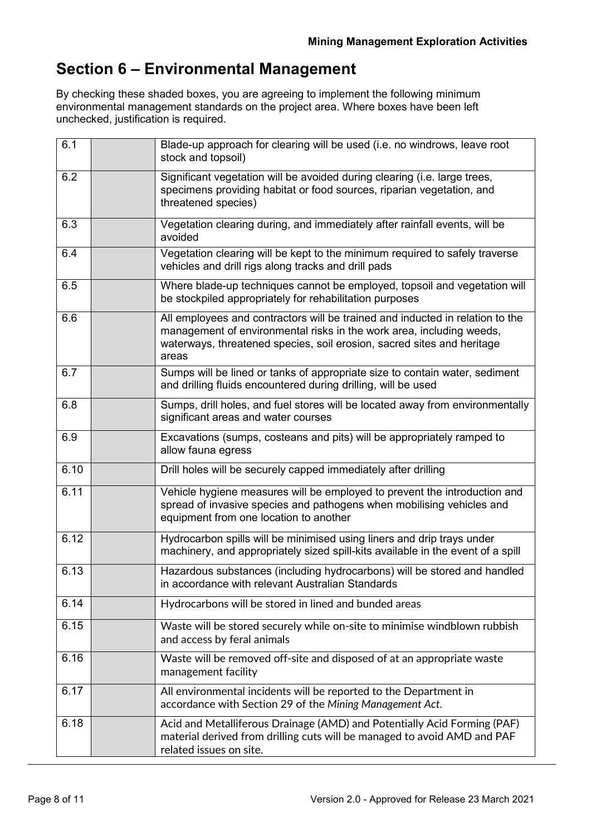## **Section 6 – Environmental Management**

By checking these shaded boxes, you are agreeing to implement the following minimum environmental management standards on the project area. Where boxes have been left unchecked, justification is required.

| 6.1  | Blade-up approach for clearing will be used (i.e. no windrows, leave root<br>stock and topsoil)                                                                                                                                          |
|------|------------------------------------------------------------------------------------------------------------------------------------------------------------------------------------------------------------------------------------------|
| 6.2  | Significant vegetation will be avoided during clearing (i.e. large trees,<br>specimens providing habitat or food sources, riparian vegetation, and<br>threatened species)                                                                |
| 6.3  | Vegetation clearing during, and immediately after rainfall events, will be<br>avoided                                                                                                                                                    |
| 6.4  | Vegetation clearing will be kept to the minimum required to safely traverse<br>vehicles and drill rigs along tracks and drill pads                                                                                                       |
| 6.5  | Where blade-up techniques cannot be employed, topsoil and vegetation will<br>be stockpiled appropriately for rehabilitation purposes                                                                                                     |
| 6.6  | All employees and contractors will be trained and inducted in relation to the<br>management of environmental risks in the work area, including weeds,<br>waterways, threatened species, soil erosion, sacred sites and heritage<br>areas |
| 6.7  | Sumps will be lined or tanks of appropriate size to contain water, sediment<br>and drilling fluids encountered during drilling, will be used                                                                                             |
| 6.8  | Sumps, drill holes, and fuel stores will be located away from environmentally<br>significant areas and water courses                                                                                                                     |
| 6.9  | Excavations (sumps, costeans and pits) will be appropriately ramped to<br>allow fauna egress                                                                                                                                             |
| 6.10 | Drill holes will be securely capped immediately after drilling                                                                                                                                                                           |
| 6.11 | Vehicle hygiene measures will be employed to prevent the introduction and<br>spread of invasive species and pathogens when mobilising vehicles and<br>equipment from one location to another                                             |
| 6.12 | Hydrocarbon spills will be minimised using liners and drip trays under<br>machinery, and appropriately sized spill-kits available in the event of a spill                                                                                |
| 6.13 | Hazardous substances (including hydrocarbons) will be stored and handled<br>in accordance with relevant Australian Standards                                                                                                             |
| 6.14 | Hydrocarbons will be stored in lined and bunded areas                                                                                                                                                                                    |
| 6.15 | Waste will be stored securely while on-site to minimise windblown rubbish<br>and access by feral animals                                                                                                                                 |
| 6.16 | Waste will be removed off-site and disposed of at an appropriate waste<br>management facility                                                                                                                                            |
| 6.17 | All environmental incidents will be reported to the Department in<br>accordance with Section 29 of the Mining Management Act.                                                                                                            |
| 6.18 | Acid and Metalliferous Drainage (AMD) and Potentially Acid Forming (PAF)<br>material derived from drilling cuts will be managed to avoid AMD and PAF<br>related issues on site.                                                          |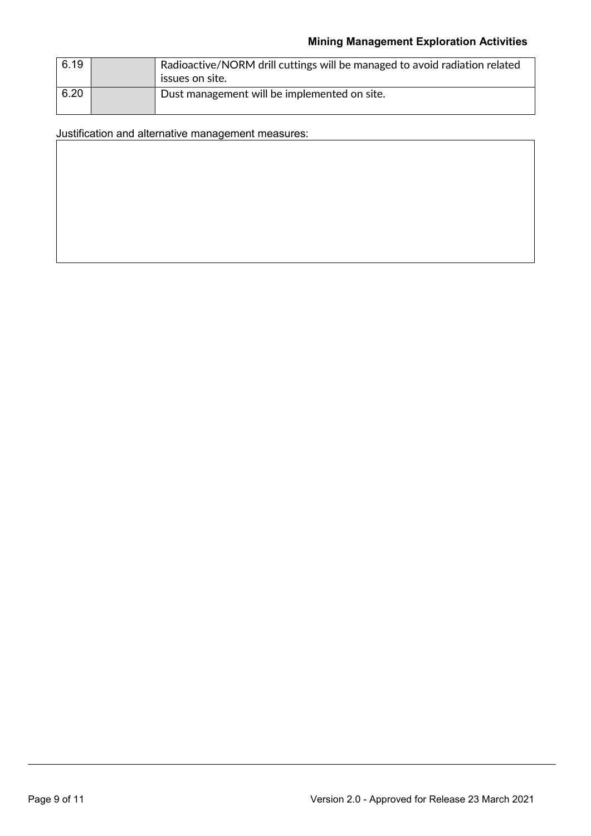| 6.19 | Radioactive/NORM drill cuttings will be managed to avoid radiation related<br>issues on site. |
|------|-----------------------------------------------------------------------------------------------|
| 6.20 | Dust management will be implemented on site.                                                  |

Justification and alternative management measures: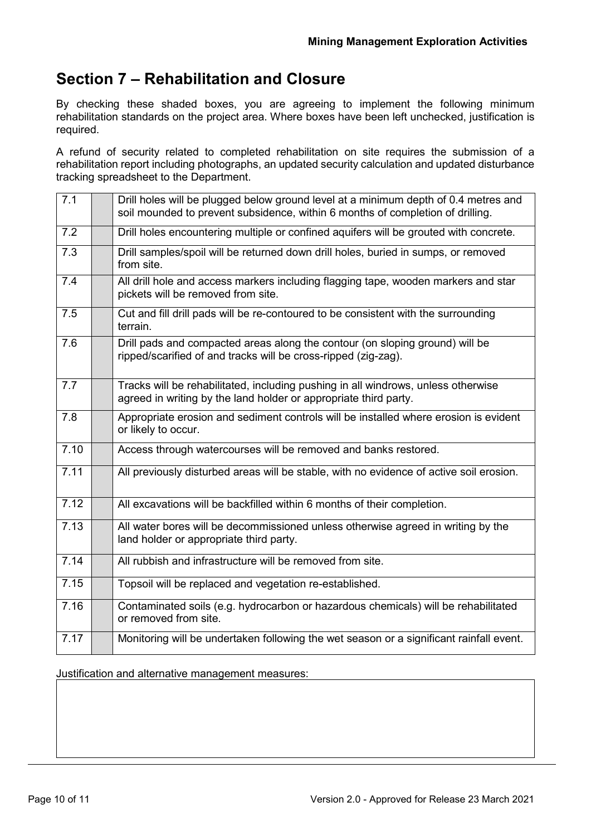### **Section 7 – Rehabilitation and Closure**

By checking these shaded boxes, you are agreeing to implement the following minimum rehabilitation standards on the project area. Where boxes have been left unchecked, justification is required.

A refund of security related to completed rehabilitation on site requires the submission of a rehabilitation report including photographs, an updated security calculation and updated disturbance tracking spreadsheet to the Department.

| 7.1  | Drill holes will be plugged below ground level at a minimum depth of 0.4 metres and<br>soil mounded to prevent subsidence, within 6 months of completion of drilling. |
|------|-----------------------------------------------------------------------------------------------------------------------------------------------------------------------|
| 7.2  | Drill holes encountering multiple or confined aquifers will be grouted with concrete.                                                                                 |
| 7.3  | Drill samples/spoil will be returned down drill holes, buried in sumps, or removed<br>from site.                                                                      |
| 7.4  | All drill hole and access markers including flagging tape, wooden markers and star<br>pickets will be removed from site.                                              |
| 7.5  | Cut and fill drill pads will be re-contoured to be consistent with the surrounding<br>terrain.                                                                        |
| 7.6  | Drill pads and compacted areas along the contour (on sloping ground) will be<br>ripped/scarified of and tracks will be cross-ripped (zig-zag).                        |
| 7.7  | Tracks will be rehabilitated, including pushing in all windrows, unless otherwise<br>agreed in writing by the land holder or appropriate third party.                 |
| 7.8  | Appropriate erosion and sediment controls will be installed where erosion is evident<br>or likely to occur.                                                           |
| 7.10 | Access through watercourses will be removed and banks restored.                                                                                                       |
| 7.11 | All previously disturbed areas will be stable, with no evidence of active soil erosion.                                                                               |
| 7.12 | All excavations will be backfilled within 6 months of their completion.                                                                                               |
| 7.13 | All water bores will be decommissioned unless otherwise agreed in writing by the<br>land holder or appropriate third party.                                           |
| 7.14 | All rubbish and infrastructure will be removed from site.                                                                                                             |
| 7.15 | Topsoil will be replaced and vegetation re-established.                                                                                                               |
| 7.16 | Contaminated soils (e.g. hydrocarbon or hazardous chemicals) will be rehabilitated<br>or removed from site.                                                           |
| 7.17 | Monitoring will be undertaken following the wet season or a significant rainfall event.                                                                               |

Justification and alternative management measures: